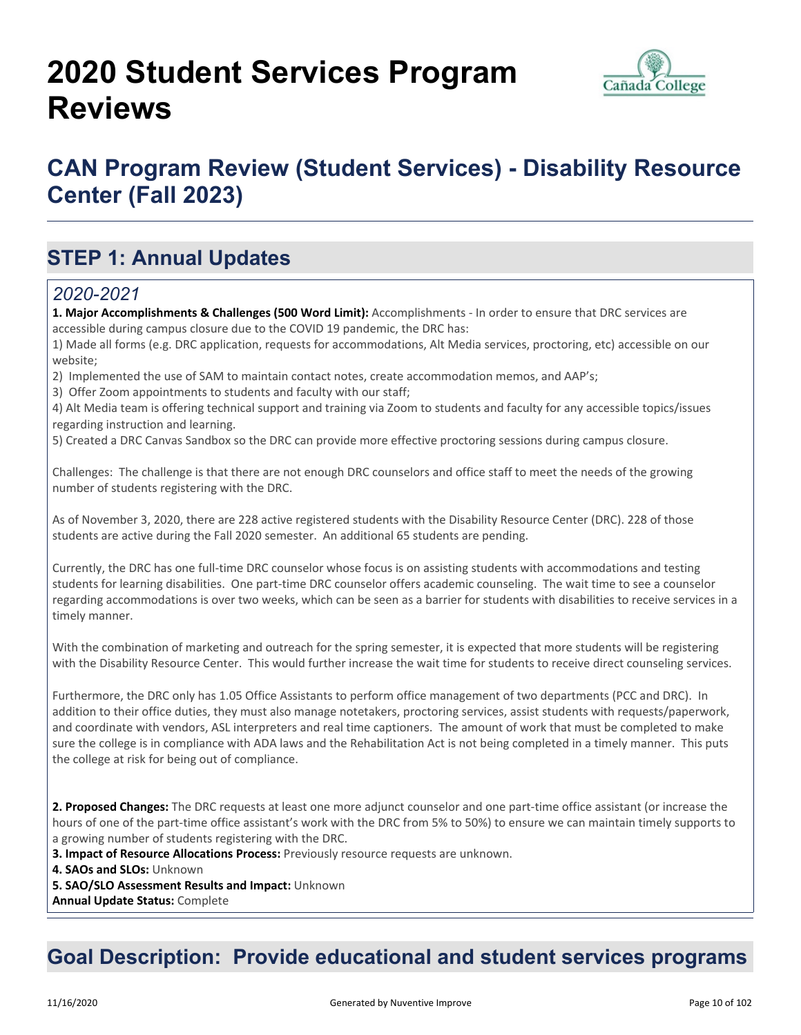# **2020 Student Services Program Reviews**



## **CAN Program Review (Student Services) - Disability Resource Center (Fall 2023)**

### **STEP 1: Annual Updates**

#### *2020-2021*

**1. Major Accomplishments & Challenges (500 Word Limit):** Accomplishments - In order to ensure that DRC services are accessible during campus closure due to the COVID 19 pandemic, the DRC has:

1) Made all forms (e.g. DRC application, requests for accommodations, Alt Media services, proctoring, etc) accessible on our website;

2) Implemented the use of SAM to maintain contact notes, create accommodation memos, and AAP's;

3) Offer Zoom appointments to students and faculty with our staff;

4) Alt Media team is offering technical support and training via Zoom to students and faculty for any accessible topics/issues regarding instruction and learning.

5) Created a DRC Canvas Sandbox so the DRC can provide more effective proctoring sessions during campus closure.

Challenges: The challenge is that there are not enough DRC counselors and office staff to meet the needs of the growing number of students registering with the DRC.

As of November 3, 2020, there are 228 active registered students with the Disability Resource Center (DRC). 228 of those students are active during the Fall 2020 semester. An additional 65 students are pending.

Currently, the DRC has one full-time DRC counselor whose focus is on assisting students with accommodations and testing students for learning disabilities. One part-time DRC counselor offers academic counseling. The wait time to see a counselor regarding accommodations is over two weeks, which can be seen as a barrier for students with disabilities to receive services in a timely manner.

With the combination of marketing and outreach for the spring semester, it is expected that more students will be registering with the Disability Resource Center. This would further increase the wait time for students to receive direct counseling services.

Furthermore, the DRC only has 1.05 Office Assistants to perform office management of two departments (PCC and DRC). In addition to their office duties, they must also manage notetakers, proctoring services, assist students with requests/paperwork, and coordinate with vendors, ASL interpreters and real time captioners. The amount of work that must be completed to make sure the college is in compliance with ADA laws and the Rehabilitation Act is not being completed in a timely manner. This puts the college at risk for being out of compliance.

**2. Proposed Changes:** The DRC requests at least one more adjunct counselor and one part-time office assistant (or increase the hours of one of the part-time office assistant's work with the DRC from 5% to 50%) to ensure we can maintain timely supports to a growing number of students registering with the DRC.

**3. Impact of Resource Allocations Process:** Previously resource requests are unknown.

**4. SAOs and SLOs:** Unknown

**5. SAO/SLO Assessment Results and Impact:** Unknown

**Annual Update Status:** Complete

### **Goal Description: Provide educational and student services programs**